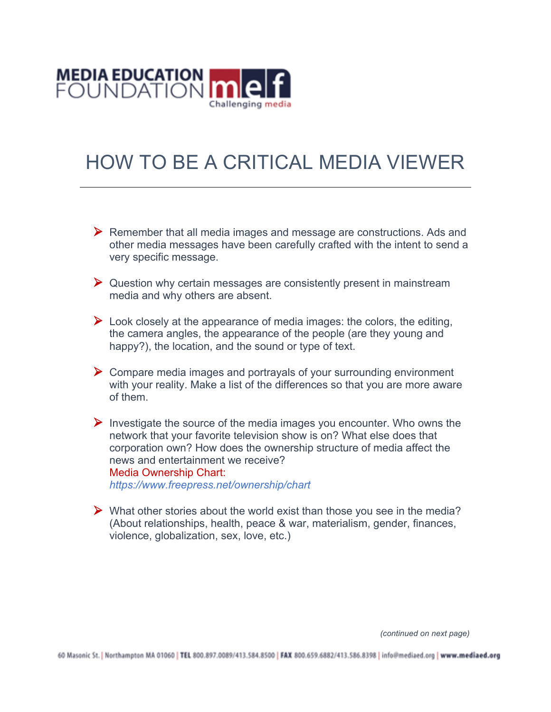

# HOW TO BE A CRITICAL MEDIA VIEWER

- $\triangleright$  Remember that all media images and message are constructions. Ads and other media messages have been carefully crafted with the intent to send a very specific message.
- $\triangleright$  Question why certain messages are consistently present in mainstream media and why others are absent.
- $\triangleright$  Look closely at the appearance of media images: the colors, the editing, the camera angles, the appearance of the people (are they young and happy?), the location, and the sound or type of text.
- $\triangleright$  Compare media images and portrayals of your surrounding environment with your reality. Make a list of the differences so that you are more aware of them.
- $\triangleright$  Investigate the source of the media images you encounter. Who owns the network that your favorite television show is on? What else does that corporation own? How does the ownership structure of media affect the news and entertainment we receive? Media Ownership Chart: *https://www.freepress.net/ownership/chart*
- $\triangleright$  What other stories about the world exist than those you see in the media? (About relationships, health, peace & war, materialism, gender, finances, violence, globalization, sex, love, etc.)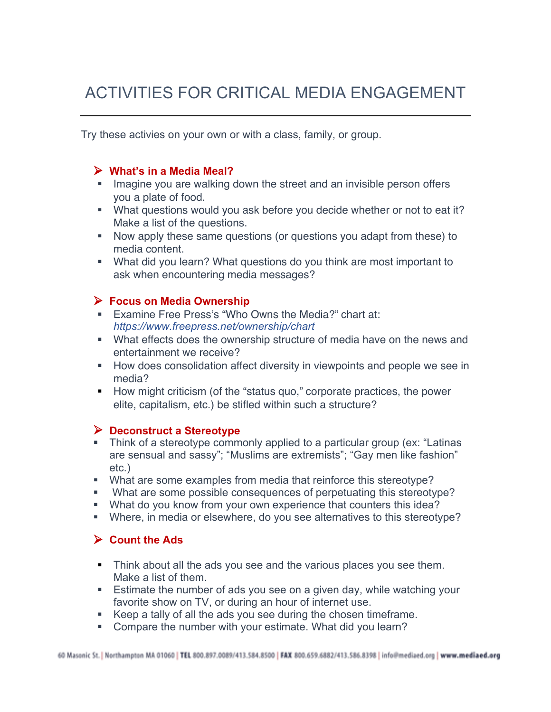# ACTIVITIES FOR CRITICAL MEDIA ENGAGEMENT

Try these activies on your own or with a class, family, or group.

### Ø **What's in a Media Meal?**

- Imagine you are walking down the street and an invisible person offers you a plate of food.
- What questions would you ask before you decide whether or not to eat it? Make a list of the questions.
- Now apply these same questions (or questions you adapt from these) to media content.
- What did you learn? What questions do you think are most important to ask when encountering media messages?

#### Ø **Focus on Media Ownership**

- Examine Free Press's "Who Owns the Media?" chart at: *https://www.freepress.net/ownership/chart*
- What effects does the ownership structure of media have on the news and entertainment we receive?
- **■** How does consolidation affect diversity in viewpoints and people we see in media?
- How might criticism (of the "status quo," corporate practices, the power elite, capitalism, etc.) be stifled within such a structure?

#### Ø **Deconstruct a Stereotype**

- Think of a stereotype commonly applied to a particular group (ex: "Latinas" are sensual and sassy"; "Muslims are extremists"; "Gay men like fashion" etc.)
- § What are some examples from media that reinforce this stereotype?
- § What are some possible consequences of perpetuating this stereotype?
- What do you know from your own experience that counters this idea?
- § Where, in media or elsewhere, do you see alternatives to this stereotype?

# Ø **Count the Ads**

- Think about all the ads you see and the various places you see them. Make a list of them.
- Estimate the number of ads you see on a given day, while watching your favorite show on TV, or during an hour of internet use.
- Keep a tally of all the ads you see during the chosen timeframe.
- Compare the number with your estimate. What did you learn?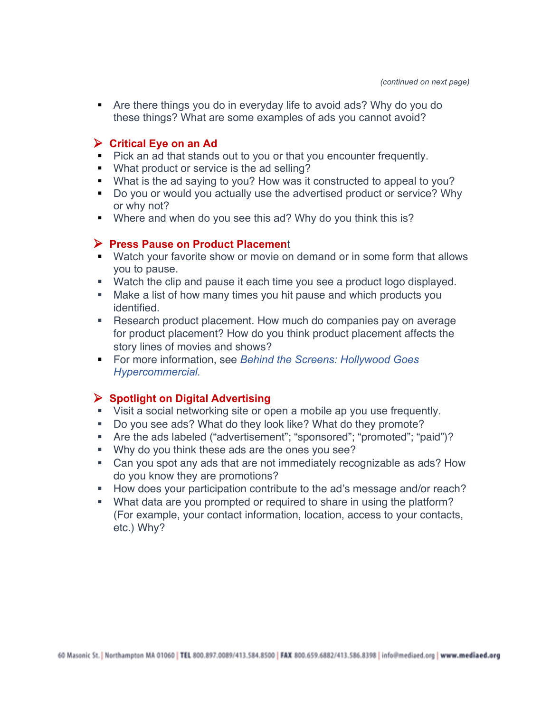■ Are there things you do in everyday life to avoid ads? Why do you do these things? What are some examples of ads you cannot avoid?

# Ø **Critical Eye on an Ad**

- Pick an ad that stands out to you or that you encounter frequently.
- What product or service is the ad selling?
- What is the ad saying to you? How was it constructed to appeal to you?
- Do you or would you actually use the advertised product or service? Why or why not?
- Where and when do you see this ad? Why do you think this is?

#### Ø **Press Pause on Product Placemen**t

- § Watch your favorite show or movie on demand or in some form that allows you to pause.
- Watch the clip and pause it each time you see a product logo displayed.
- Make a list of how many times you hit pause and which products you identified.
- Research product placement. How much do companies pay on average for product placement? How do you think product placement affects the story lines of movies and shows?
- For more information, see *Behind the Screens: Hollywood Goes Hypercommercial.*

# Ø **Spotlight on Digital Advertising**

- Visit a social networking site or open a mobile ap you use frequently.
- Do you see ads? What do they look like? What do they promote?
- Are the ads labeled ("advertisement"; "sponsored"; "promoted"; "paid")?
- § Why do you think these ads are the ones you see?
- Can you spot any ads that are not immediately recognizable as ads? How do you know they are promotions?
- **■** How does your participation contribute to the ad's message and/or reach?
- What data are you prompted or required to share in using the platform? (For example, your contact information, location, access to your contacts, etc.) Why?